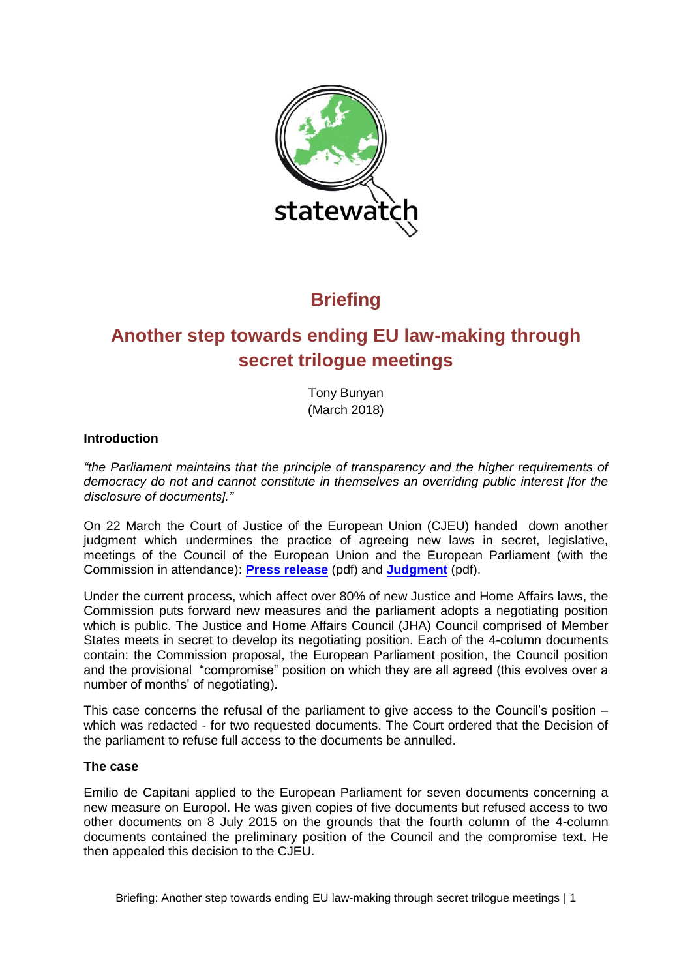

## **Briefing**

# **Another step towards ending EU law-making through secret trilogue meetings**

Tony Bunyan (March 2018)

## **Introduction**

*"the Parliament maintains that the principle of transparency and the higher requirements of democracy do not and cannot constitute in themselves an overriding public interest [for the disclosure of documents]."*

On 22 March the Court of Justice of the European Union (CJEU) handed down another judgment which undermines the practice of agreeing new laws in secret, legislative, meetings of the Council of the European Union and the European Parliament (with the Commission in attendance): **[Press release](http://www.statewatch.org/news/2018/mar/eu-ecj-de-capitani-trilogue-documents.pdf)** (pdf) and **[Judgment](http://www.statewatch.org/news/2018/mar/eu-ecj-de-capitani-trilogue-documents-judgment.pdf)** (pdf).

Under the current process, which affect over 80% of new Justice and Home Affairs laws, the Commission puts forward new measures and the parliament adopts a negotiating position which is public. The Justice and Home Affairs Council (JHA) Council comprised of Member States meets in secret to develop its negotiating position. Each of the 4-column documents contain: the Commission proposal, the European Parliament position, the Council position and the provisional "compromise" position on which they are all agreed (this evolves over a number of months' of negotiating).

This case concerns the refusal of the parliament to give access to the Council's position – which was redacted - for two requested documents. The Court ordered that the Decision of the parliament to refuse full access to the documents be annulled.

### **The case**

Emilio de Capitani applied to the European Parliament for seven documents concerning a new measure on Europol. He was given copies of five documents but refused access to two other documents on 8 July 2015 on the grounds that the fourth column of the 4-column documents contained the preliminary position of the Council and the compromise text. He then appealed this decision to the CJEU.

Briefing: Another step towards ending EU law-making through secret trilogue meetings | 1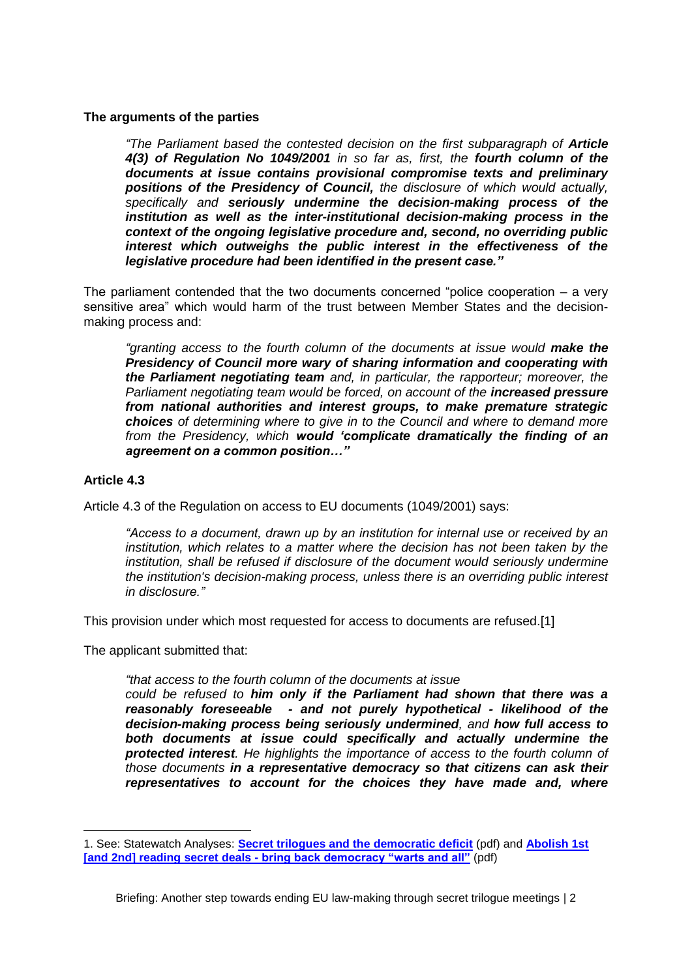#### **The arguments of the parties**

*"The Parliament based the contested decision on the first subparagraph of Article 4(3) of Regulation No 1049/2001 in so far as, first, the fourth column of the documents at issue contains provisional compromise texts and preliminary positions of the Presidency of Council, the disclosure of which would actually, specifically and seriously undermine the decision-making process of the institution as well as the inter-institutional decision-making process in the context of the ongoing legislative procedure and, second, no overriding public interest which outweighs the public interest in the effectiveness of the legislative procedure had been identified in the present case."*

The parliament contended that the two documents concerned "police cooperation  $-$  a very sensitive area" which would harm of the trust between Member States and the decisionmaking process and:

*"granting access to the fourth column of the documents at issue would make the Presidency of Council more wary of sharing information and cooperating with the Parliament negotiating team and, in particular, the rapporteur; moreover, the Parliament negotiating team would be forced, on account of the increased pressure from national authorities and interest groups, to make premature strategic choices of determining where to give in to the Council and where to demand more from the Presidency, which would 'complicate dramatically the finding of an agreement on a common position…"*

#### **Article 4.3**

 $\overline{a}$ 

Article 4.3 of the Regulation on access to EU documents (1049/2001) says:

*"Access to a document, drawn up by an institution for internal use or received by an institution, which relates to a matter where the decision has not been taken by the institution, shall be refused if disclosure of the document would seriously undermine the institution's decision-making process, unless there is an overriding public interest in disclosure."*

This provision under which most requested for access to documents are refused.[1]

The applicant submitted that:

*"that access to the fourth column of the documents at issue* 

*could be refused to him only if the Parliament had shown that there was a reasonably foreseeable - and not purely hypothetical - likelihood of the decision-making process being seriously undermined, and how full access to both documents at issue could specifically and actually undermine the protected interest. He highlights the importance of access to the fourth column of those documents in a representative democracy so that citizens can ask their representatives to account for the choices they have made and, where* 

<sup>1.</sup> See: Statewatch Analyses: **[Secret trilogues and the democratic deficit](http://www.statewatch.org/analyses/no-64-secret-trilogues.pdf)** (pdf) and **[Abolish 1st](http://www.statewatch.org/analyses/no-84-ep-first-reading-deals.pdf)  [and 2nd] reading secret deals - [bring back democracy "warts and all"](http://www.statewatch.org/analyses/no-84-ep-first-reading-deals.pdf)** (pdf)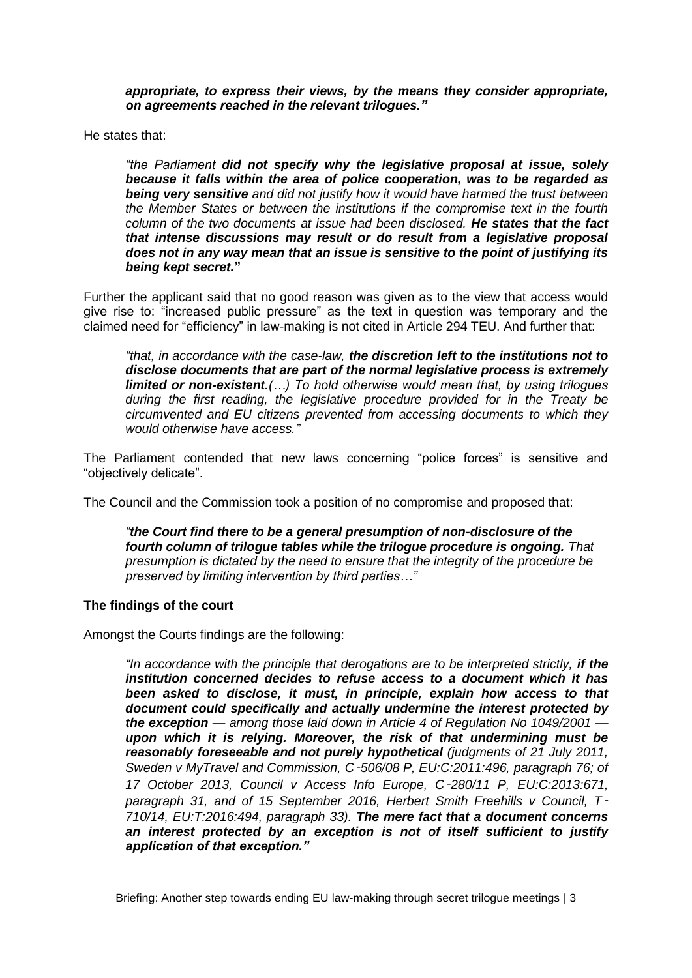*appropriate, to express their views, by the means they consider appropriate, on agreements reached in the relevant trilogues."*

He states that:

*"the Parliament did not specify why the legislative proposal at issue, solely because it falls within the area of police cooperation, was to be regarded as being very sensitive and did not justify how it would have harmed the trust between the Member States or between the institutions if the compromise text in the fourth column of the two documents at issue had been disclosed. He states that the fact that intense discussions may result or do result from a legislative proposal does not in any way mean that an issue is sensitive to the point of justifying its being kept secret.***"** 

Further the applicant said that no good reason was given as to the view that access would give rise to: "increased public pressure" as the text in question was temporary and the claimed need for "efficiency" in law-making is not cited in Article 294 TEU. And further that:

*"that, in accordance with the case-law, the discretion left to the institutions not to disclose documents that are part of the normal legislative process is extremely limited or non-existent.(…) To hold otherwise would mean that, by using trilogues during the first reading, the legislative procedure provided for in the Treaty be circumvented and EU citizens prevented from accessing documents to which they would otherwise have access."*

The Parliament contended that new laws concerning "police forces" is sensitive and "objectively delicate".

The Council and the Commission took a position of no compromise and proposed that:

*"the Court find there to be a general presumption of non-disclosure of the fourth column of trilogue tables while the trilogue procedure is ongoing. That presumption is dictated by the need to ensure that the integrity of the procedure be preserved by limiting intervention by third parties…"*

### **The findings of the court**

Amongst the Courts findings are the following:

*"In accordance with the principle that derogations are to be interpreted strictly, if the institution concerned decides to refuse access to a document which it has*  been asked to disclose, it must, in principle, explain how access to that *document could specifically and actually undermine the interest protected by the exception — among those laid down in Article 4 of Regulation No 1049/2001 upon which it is relying. Moreover, the risk of that undermining must be reasonably foreseeable and not purely hypothetical (judgments of 21 July 2011, Sweden v MyTravel and Commission, C*‑*506/08 P, EU:C:2011:496, paragraph 76; of 17 October 2013, Council v Access Info Europe, C*‑*280/11 P, EU:C:2013:671, paragraph 31, and of 15 September 2016, Herbert Smith Freehills v Council, T*‑ *710/14, EU:T:2016:494, paragraph 33). The mere fact that a document concerns an interest protected by an exception is not of itself sufficient to justify application of that exception."*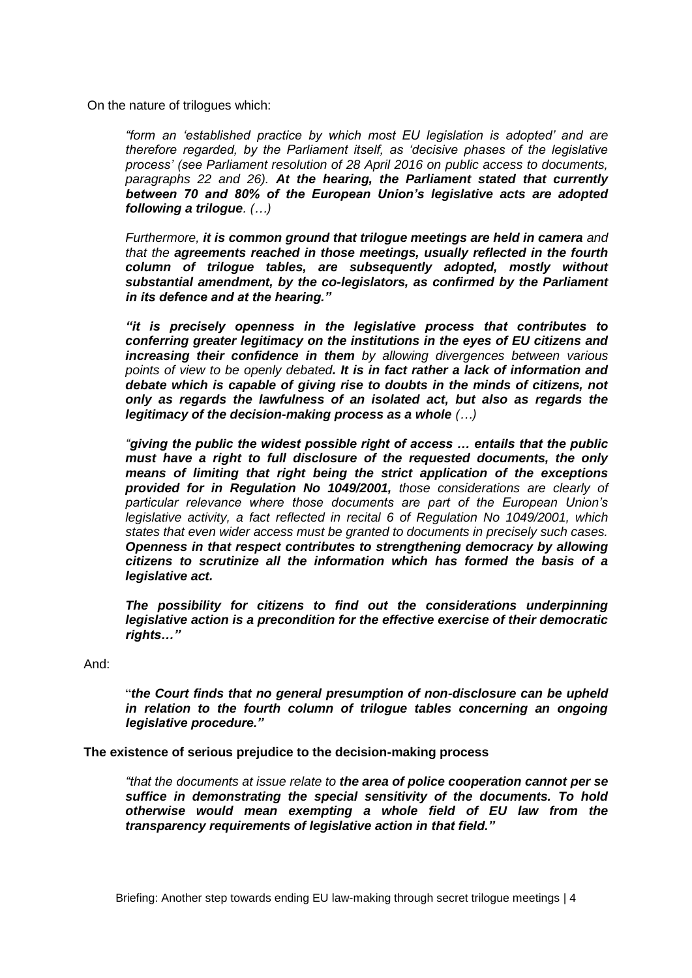On the nature of trilogues which:

*"form an 'established practice by which most EU legislation is adopted' and are therefore regarded, by the Parliament itself, as 'decisive phases of the legislative process' (see Parliament resolution of 28 April 2016 on public access to documents, paragraphs 22 and 26). At the hearing, the Parliament stated that currently between 70 and 80% of the European Union's legislative acts are adopted following a trilogue. (…)*

*Furthermore, it is common ground that trilogue meetings are held in camera and that the agreements reached in those meetings, usually reflected in the fourth column of trilogue tables, are subsequently adopted, mostly without substantial amendment, by the co-legislators, as confirmed by the Parliament in its defence and at the hearing."*

*"it is precisely openness in the legislative process that contributes to conferring greater legitimacy on the institutions in the eyes of EU citizens and increasing their confidence in them by allowing divergences between various points of view to be openly debated. It is in fact rather a lack of information and debate which is capable of giving rise to doubts in the minds of citizens, not only as regards the lawfulness of an isolated act, but also as regards the legitimacy of the decision-making process as a whole (…)*

*"giving the public the widest possible right of access … entails that the public must have a right to full disclosure of the requested documents, the only means of limiting that right being the strict application of the exceptions provided for in Regulation No 1049/2001, those considerations are clearly of particular relevance where those documents are part of the European Union's legislative activity, a fact reflected in recital 6 of Regulation No 1049/2001, which states that even wider access must be granted to documents in precisely such cases. Openness in that respect contributes to strengthening democracy by allowing citizens to scrutinize all the information which has formed the basis of a legislative act.*

*The possibility for citizens to find out the considerations underpinning legislative action is a precondition for the effective exercise of their democratic rights…"*

And:

"*the Court finds that no general presumption of non-disclosure can be upheld in relation to the fourth column of trilogue tables concerning an ongoing legislative procedure."*

**The existence of serious prejudice to the decision-making process**

*"that the documents at issue relate to the area of police cooperation cannot per se suffice in demonstrating the special sensitivity of the documents. To hold otherwise would mean exempting a whole field of EU law from the transparency requirements of legislative action in that field."*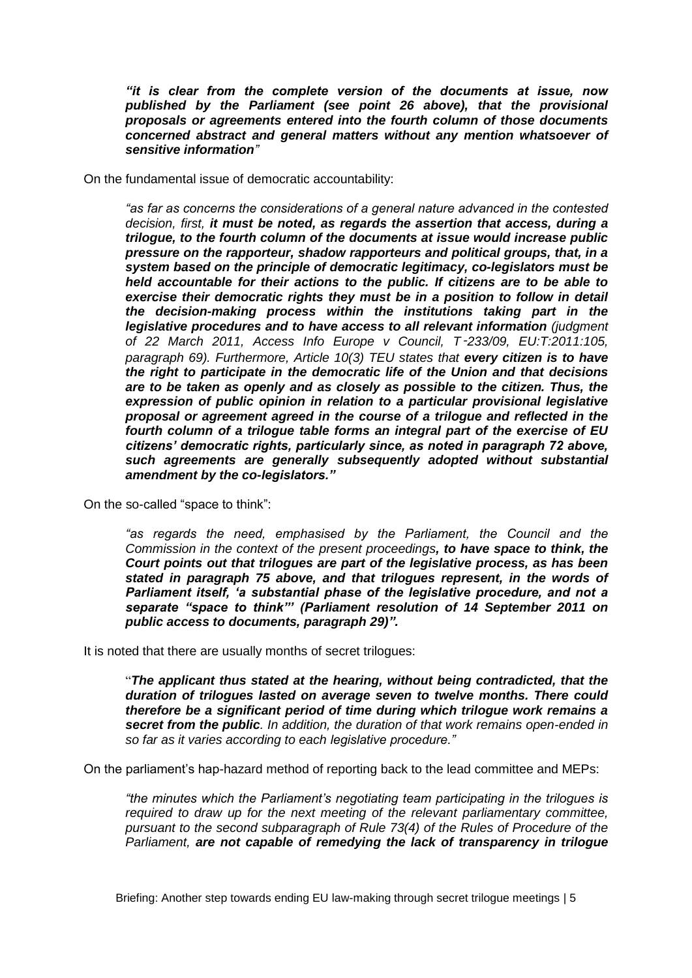*"it is clear from the complete version of the documents at issue, now published by the Parliament (see point 26 above), that the provisional proposals or agreements entered into the fourth column of those documents concerned abstract and general matters without any mention whatsoever of sensitive information"*

On the fundamental issue of democratic accountability:

*"as far as concerns the considerations of a general nature advanced in the contested decision, first, it must be noted, as regards the assertion that access, during a trilogue, to the fourth column of the documents at issue would increase public pressure on the rapporteur, shadow rapporteurs and political groups, that, in a system based on the principle of democratic legitimacy, co-legislators must be held accountable for their actions to the public. If citizens are to be able to exercise their democratic rights they must be in a position to follow in detail the decision-making process within the institutions taking part in the legislative procedures and to have access to all relevant information (judgment of 22 March 2011, Access Info Europe v Council, T*‑*233/09, EU:T:2011:105, paragraph 69). Furthermore, Article 10(3) TEU states that every citizen is to have the right to participate in the democratic life of the Union and that decisions are to be taken as openly and as closely as possible to the citizen. Thus, the expression of public opinion in relation to a particular provisional legislative proposal or agreement agreed in the course of a trilogue and reflected in the fourth column of a trilogue table forms an integral part of the exercise of EU citizens' democratic rights, particularly since, as noted in paragraph 72 above, such agreements are generally subsequently adopted without substantial amendment by the co-legislators."*

On the so-called "space to think":

*"as regards the need, emphasised by the Parliament, the Council and the Commission in the context of the present proceedings, to have space to think, the Court points out that trilogues are part of the legislative process, as has been stated in paragraph 75 above, and that trilogues represent, in the words of Parliament itself, 'a substantial phase of the legislative procedure, and not a separate "space to think"' (Parliament resolution of 14 September 2011 on public access to documents, paragraph 29)".*

It is noted that there are usually months of secret trilogues:

"*The applicant thus stated at the hearing, without being contradicted, that the duration of trilogues lasted on average seven to twelve months. There could therefore be a significant period of time during which trilogue work remains a secret from the public. In addition, the duration of that work remains open-ended in so far as it varies according to each legislative procedure."*

On the parliament's hap-hazard method of reporting back to the lead committee and MEPs:

*"the minutes which the Parliament's negotiating team participating in the trilogues is required to draw up for the next meeting of the relevant parliamentary committee, pursuant to the second subparagraph of Rule 73(4) of the Rules of Procedure of the Parliament, are not capable of remedying the lack of transparency in trilogue*